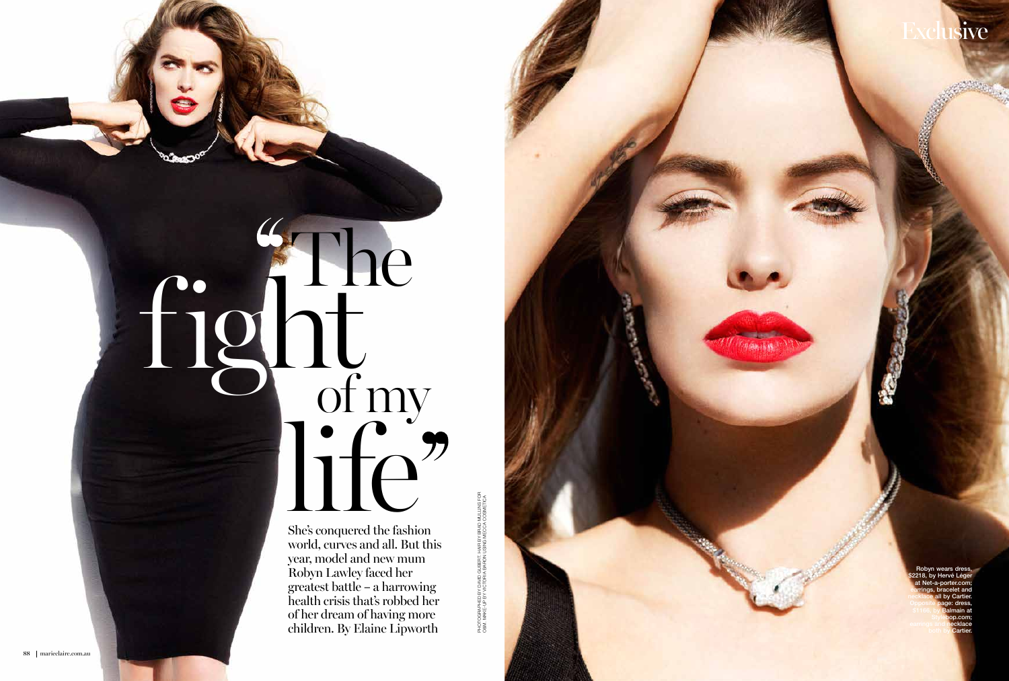fight If the fashic<br>She's conquered the fashic The of my

She's conquered the fashion world, curves and all. But this year, model and new mum Robyn Lawley faced her greatest battle – a harrowing health crisis that's robbed her of her dream of having more children. By Elaine Lipworth

PHOTOGRAPHED BY DAVID GUBERT. HAIR BY BRAD MULLINS FOR O&M. MAKE-UP BY VICTORIA BARON USING MECCA COSMETICAPHOTOGRAPHED BY DAVID GUBERT. HAIR BY BRAD MULLINS FO<br>O&M. MAKE-UP BY VICTORIA BARON USING MECCA COSMETIC/



Robyn wears dress 18, by Hervé Lége at Net-a-porter.com; earrings, bracelet and necklace all by Cartier. Opposite page: dress, \$1166, by Balmain at Stylebop.com; earrings and **necklace** both by Cartier.

sive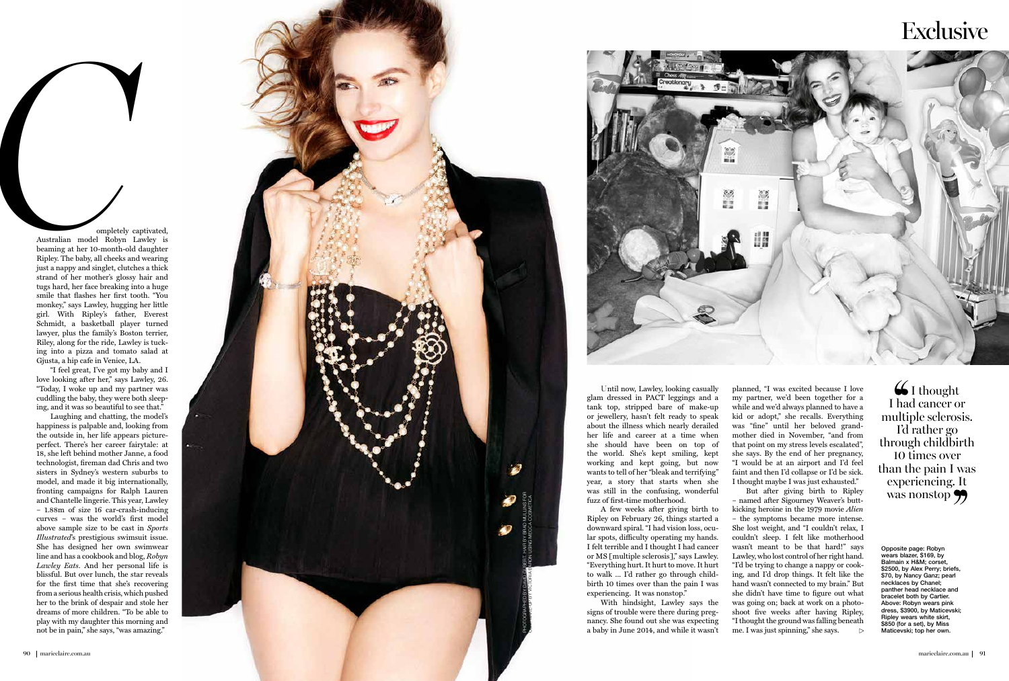Opposite page: Robyn wears blazer, \$169, by Balmain x H&M; corset, \$2500, by Alex Perry; briefs, \$70, by Nancy Ganz; pearl necklaces by Chanel; panther head necklace and bracelet both by Cartier. Above: Robyn wears pink dress, \$3900, by Maticevski; Ripley wears white skirt, \$850 (for a set), by Miss Maticevski; top her own.

Laughing and chatting, the model's happiness is palpable and, looking from the outside in, her life appears pictureperfect. There's her career fairytale: at 18, she left behind mother Janne, a food technologist, fireman dad Chris and two sisters in Sydney's western suburbs to model, and made it big internationally, fronting campaigns for Ralph Lauren and Chantelle lingerie. This year, Lawley – 1.88m of size 16 car-crash-inducing curves – was the world's first model above sample size to be cast in *Sports Illustrated*'s prestigious swimsuit issue. She has designed her own swimwear line and has a cookbook and blog, *Robyn Lawley Eats*. And her personal life is blissful. But over lunch, the star reveals for the first time that she's recovering from a serious health crisis, which pushed her to the brink of despair and stole her dreams of more children. "To be able to play with my daughter this morning and not be the interest of the model and the same of the pain and the pain and the pain, in the interest of the model and the mission in the same strain of the model and the mission smaller than that that a model and the missi

 ompletely captivated, Australian model Robyn Lawley is beaming at her 10-month-old daughter Ripley. The baby, all cheeks and wearing just a nappy and singlet, clutches a thick strand of her mother's glossy hair and tugs hard, her face breaking into a huge smile that flashes her first tooth. "You monkey," says Lawley, hugging her little girl. With Ripley's father, Everest Schmidt, a basketball player turned lawyer, plus the family's Boston terrier, Riley, along for the ride, Lawley is tuck ing into a pizza and tomato salad at Gjusta, a hip cafe in Venice, LA.

"I feel great, I've got my baby and I love looking after her," says Lawley, 26. "Today, I woke up and my partner was cuddling the baby, they were both sleep ing, and it was so beautiful to see that."

> But after giving birth to Ripley – named after Sigourney Weaver's buttkicking heroine in the 1979 movie *Alien* – the symptoms became more intense. She lost weight, and "I couldn't relax, I couldn't sleep. I felt like motherhood wasn't meant to be that hard!" says Lawley, who lost control of her right hand. "I'd be trying to change a nappy or cook ing, and I'd drop things. It felt like the hand wasn't connected to my brain." But she didn't have time to figure out what was going on; back at work on a photo shoot five weeks after having Ripley, "I thought the ground was falling beneath me. I was just spinning," she says.  $\triangleright$

 $\bigcup$  I thought I had cancer or multiple sclerosis. I'd rather go through childbirth 10 times over than the pain I was experiencing. It was nonstop

Until now, Lawley, looking casually glam dressed in PACT leggings and a tank top, stripped bare of make-up or jewellery, hasn't felt ready to speak about the illness which nearly derailed her life and career at a time when she should have been on top of the world. She's kept smiling, kept working and kept going, but now wants to tell of her "bleak and terrifying" year, a story that starts when she was still in the confusing, wonderful fuzz of first-time motherhood.





A few weeks after giving birth to Ripley on February 26, things started a downward spiral. "I had vision loss, ocu lar spots, difficulty operating my hands. I felt terrible and I thought I had cancer or MS [multiple sclerosis]," says Lawley. "Everything hurt. It hurt to move. It hurt to walk ... I'd rather go through child birth 10 times over than the pain I was experiencing. It was nonstop."

With hindsight, Lawley says the signs of trouble were there during preg nancy. She found out she was expecting a baby in June 2014, and while it wasn't

## **Exclusive**

planned, "I was excited because I love my partner, we'd been together for a while and we'd always planned to have a kid or adopt," she recalls. Everything was "fine" until her beloved grand mother died in November, "and from that point on my stress levels escalated", she says. By the end of her pregnancy, "I would be at an airport and I'd feel faint and then I'd collapse or I'd be sick. I thought maybe I was just exhausted."